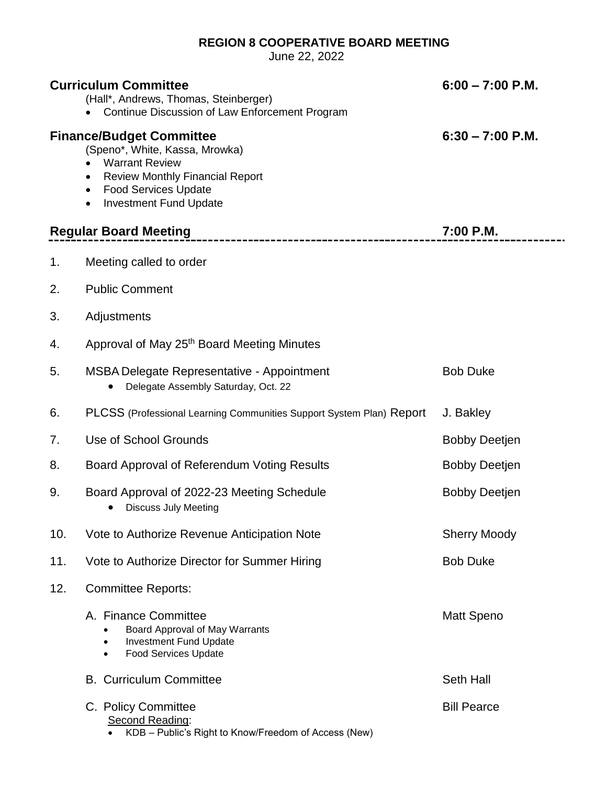## **REGION 8 COOPERATIVE BOARD MEETING**

June 22, 2022

|                              | <b>Curriculum Committee</b><br>(Hall*, Andrews, Thomas, Steinberger)<br>Continue Discussion of Law Enforcement Program                                                                                                 | $6:00 - 7:00$ P.M.   |
|------------------------------|------------------------------------------------------------------------------------------------------------------------------------------------------------------------------------------------------------------------|----------------------|
|                              | <b>Finance/Budget Committee</b><br>(Speno*, White, Kassa, Mrowka)<br><b>Warrant Review</b><br><b>Review Monthly Financial Report</b><br>$\bullet$<br><b>Food Services Update</b><br>٠<br><b>Investment Fund Update</b> | $6:30 - 7:00$ P.M.   |
| <b>Regular Board Meeting</b> |                                                                                                                                                                                                                        | 7:00 P.M.            |
| 1.                           | Meeting called to order                                                                                                                                                                                                |                      |
| 2.                           | <b>Public Comment</b>                                                                                                                                                                                                  |                      |
| 3.                           | Adjustments                                                                                                                                                                                                            |                      |
| 4.                           | Approval of May 25 <sup>th</sup> Board Meeting Minutes                                                                                                                                                                 |                      |
| 5.                           | <b>MSBA Delegate Representative - Appointment</b><br>Delegate Assembly Saturday, Oct. 22                                                                                                                               | <b>Bob Duke</b>      |
| 6.                           | PLCSS (Professional Learning Communities Support System Plan) Report                                                                                                                                                   | J. Bakley            |
| 7.                           | Use of School Grounds                                                                                                                                                                                                  | <b>Bobby Deetjen</b> |
| 8.                           | Board Approval of Referendum Voting Results                                                                                                                                                                            | <b>Bobby Deetjen</b> |
| 9.                           | Board Approval of 2022-23 Meeting Schedule<br><b>Discuss July Meeting</b>                                                                                                                                              | <b>Bobby Deetjen</b> |
| 10.                          | Vote to Authorize Revenue Anticipation Note                                                                                                                                                                            | <b>Sherry Moody</b>  |
| 11.                          | Vote to Authorize Director for Summer Hiring                                                                                                                                                                           | <b>Bob Duke</b>      |
| 12.                          | <b>Committee Reports:</b>                                                                                                                                                                                              |                      |
|                              | A. Finance Committee<br>Board Approval of May Warrants<br>$\bullet$<br><b>Investment Fund Update</b><br>$\bullet$<br><b>Food Services Update</b><br>$\bullet$                                                          | <b>Matt Speno</b>    |
|                              | <b>B. Curriculum Committee</b>                                                                                                                                                                                         | Seth Hall            |
|                              | C. Policy Committee<br>Second Reading:<br>KDB - Public's Right to Know/Freedom of Access (New)                                                                                                                         | <b>Bill Pearce</b>   |